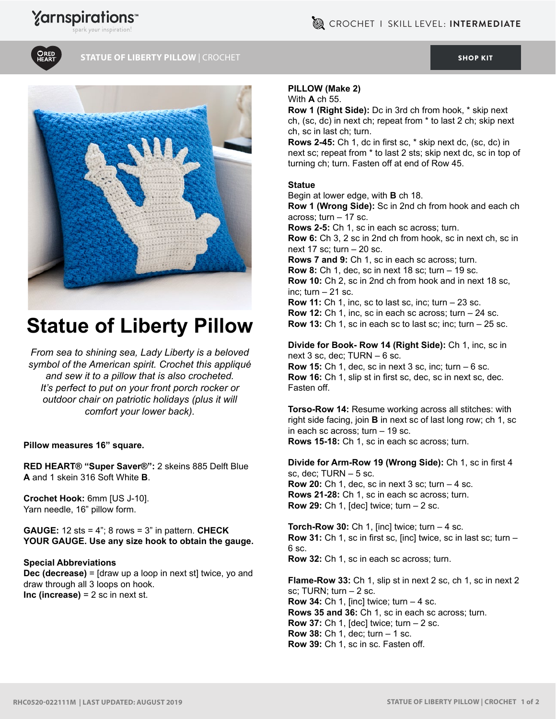

## **STATUE OF LIBERTY PILLOW |** CROCHET **[SHOP KIT](https://www.yarnspirations.com/red-heart-statue-of-liberty-pillow/RHC0520-022111M.html#utm_source=pdf-yarnspirations&utm_medium=referral&utm_campaign=pdf-RHC0520-022111M) SHOP KIT SHOP KIT** SHOP KIT SHOP KIT SHOP KIT



# **Statue of Liberty Pillow**

*From sea to shining sea, Lady Liberty is a beloved symbol of the American spirit. Crochet this appliqué and sew it to a pillow that is also crocheted. It's perfect to put on your front porch rocker or outdoor chair on patriotic holidays (plus it will comfort your lower back).*

#### **Pillow measures 16" square.**

**RED HEART® "Super Saver®":** 2 skeins 885 Delft Blue **A** and 1 skein 316 Soft White **B**.

**Crochet Hook:** 6mm [US J-10]. Yarn needle, 16" pillow form.

**GAUGE:** 12 sts = 4"; 8 rows = 3" in pattern. **CHECK YOUR GAUGE. Use any size hook to obtain the gauge.**

#### **Special Abbreviations**

**Dec (decrease)** = [draw up a loop in next st] twice, yo and draw through all 3 loops on hook. **Inc (increase)** = 2 sc in next st.

#### **PILLOW (Make 2)**

With **A** ch 55.

**Row 1 (Right Side):** Dc in 3rd ch from hook, \* skip next ch, (sc, dc) in next ch; repeat from \* to last 2 ch; skip next ch, sc in last ch; turn.

**Rows 2-45:** Ch 1, dc in first sc, \* skip next dc, (sc, dc) in next sc; repeat from \* to last 2 sts; skip next dc, sc in top of turning ch; turn. Fasten off at end of Row 45.

## **Statue**

Begin at lower edge, with **B** ch 18.

**Row 1 (Wrong Side):** Sc in 2nd ch from hook and each ch across; turn – 17 sc.

**Rows 2-5:** Ch 1, sc in each sc across; turn.

**Row 6:** Ch 3, 2 sc in 2nd ch from hook, sc in next ch, sc in next 17 sc; turn – 20 sc.

**Rows 7 and 9:** Ch 1, sc in each sc across; turn. **Row 8:** Ch 1, dec, sc in next 18 sc; turn – 19 sc. **Row 10:** Ch 2, sc in 2nd ch from hook and in next 18 sc, inc; turn  $-21$  sc.

**Row 11:** Ch 1, inc, sc to last sc, inc; turn – 23 sc. **Row 12:** Ch 1, inc, sc in each sc across; turn – 24 sc. **Row 13:** Ch 1, sc in each sc to last sc; inc; turn – 25 sc.

**Divide for Book- Row 14 (Right Side):** Ch 1, inc, sc in next 3 sc, dec; TURN – 6 sc.

**Row 15:** Ch 1, dec, sc in next 3 sc, inc; turn – 6 sc. **Row 16:** Ch 1, slip st in first sc, dec, sc in next sc, dec. Fasten off.

**Torso-Row 14:** Resume working across all stitches: with right side facing, join **B** in next sc of last long row; ch 1, sc in each sc across; turn – 19 sc. **Rows 15-18:** Ch 1, sc in each sc across; turn.

**Divide for Arm-Row 19 (Wrong Side):** Ch 1, sc in first 4 sc, dec; TURN – 5 sc. **Row 20:** Ch 1, dec, sc in next 3 sc; turn – 4 sc. **Rows 21-28:** Ch 1, sc in each sc across; turn. **Row 29:** Ch 1, [dec] twice; turn – 2 sc.

**Torch-Row 30:** Ch 1, [inc] twice; turn – 4 sc. **Row 31:** Ch 1, sc in first sc, [inc] twice, sc in last sc; turn – 6 sc. **Row 32:** Ch 1, sc in each sc across; turn.

**Flame-Row 33:** Ch 1, slip st in next 2 sc, ch 1, sc in next 2 sc; TURN; turn – 2 sc. **Row 34:** Ch 1, [inc] twice; turn – 4 sc. **Rows 35 and 36:** Ch 1, sc in each sc across; turn. **Row 37:** Ch 1, [dec] twice; turn – 2 sc. **Row 38:** Ch 1, dec; turn – 1 sc. **Row 39:** Ch 1, sc in sc. Fasten off.